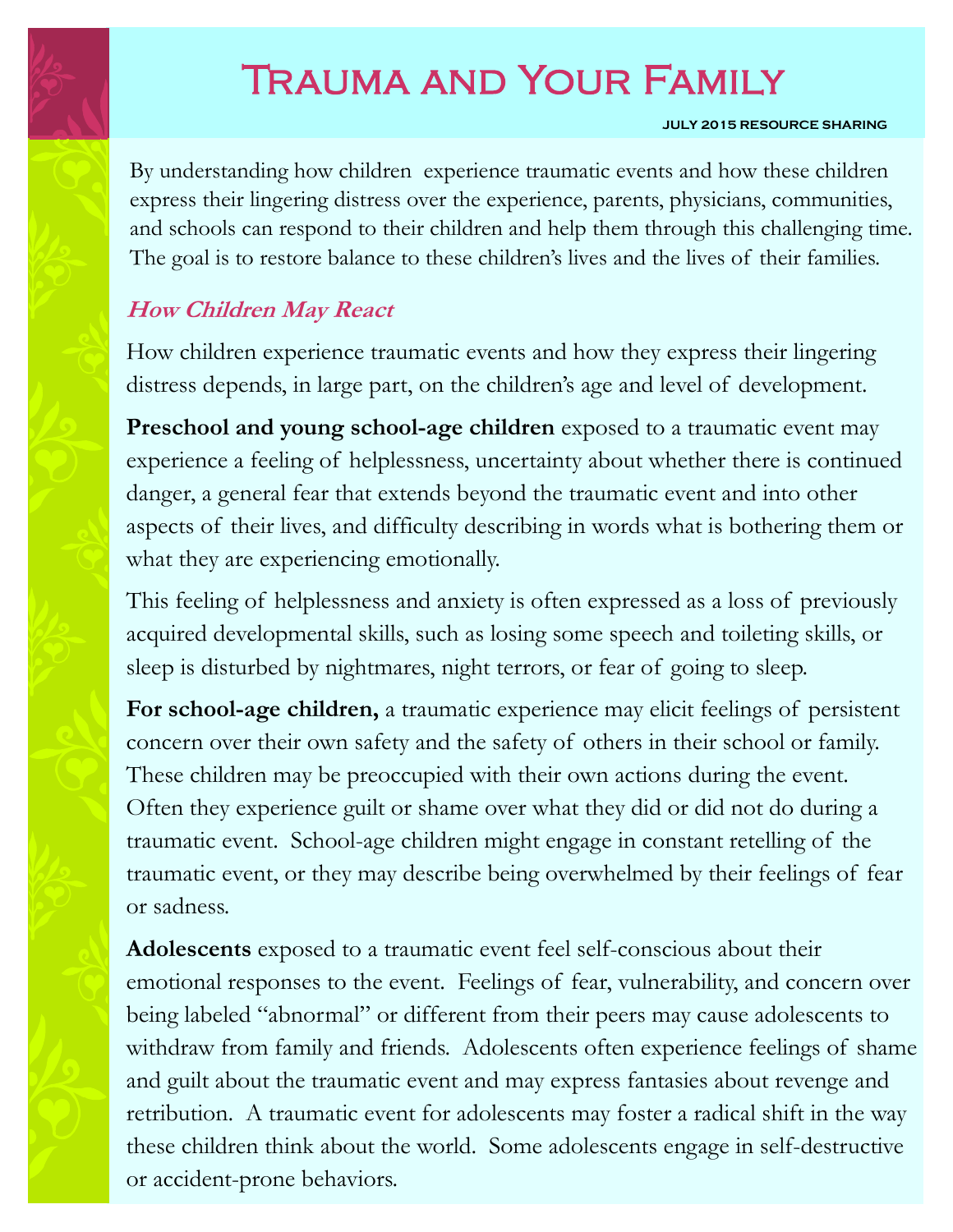# Trauma and Your Family

### **JULY 2015 RESOURCE SHARING**

By understanding how children experience traumatic events and how these children express their lingering distress over the experience, parents, physicians, communities, and schools can respond to their children and help them through this challenging time. The goal is to restore balance to these children's lives and the lives of their families.

### **How Children May React**

How children experience traumatic events and how they express their lingering distress depends, in large part, on the children's age and level of development.

**Preschool and young school-age children** exposed to a traumatic event may experience a feeling of helplessness, uncertainty about whether there is continued danger, a general fear that extends beyond the traumatic event and into other aspects of their lives, and difficulty describing in words what is bothering them or what they are experiencing emotionally.

This feeling of helplessness and anxiety is often expressed as a loss of previously acquired developmental skills, such as losing some speech and toileting skills, or sleep is disturbed by nightmares, night terrors, or fear of going to sleep.

**For school-age children,** a traumatic experience may elicit feelings of persistent concern over their own safety and the safety of others in their school or family. These children may be preoccupied with their own actions during the event. Often they experience guilt or shame over what they did or did not do during a traumatic event. School-age children might engage in constant retelling of the traumatic event, or they may describe being overwhelmed by their feelings of fear or sadness.

**Adolescents** exposed to a traumatic event feel self-conscious about their emotional responses to the event. Feelings of fear, vulnerability, and concern over being labeled "abnormal" or different from their peers may cause adolescents to withdraw from family and friends. Adolescents often experience feelings of shame and guilt about the traumatic event and may express fantasies about revenge and retribution. A traumatic event for adolescents may foster a radical shift in the way these children think about the world. Some adolescents engage in self-destructive or accident-prone behaviors.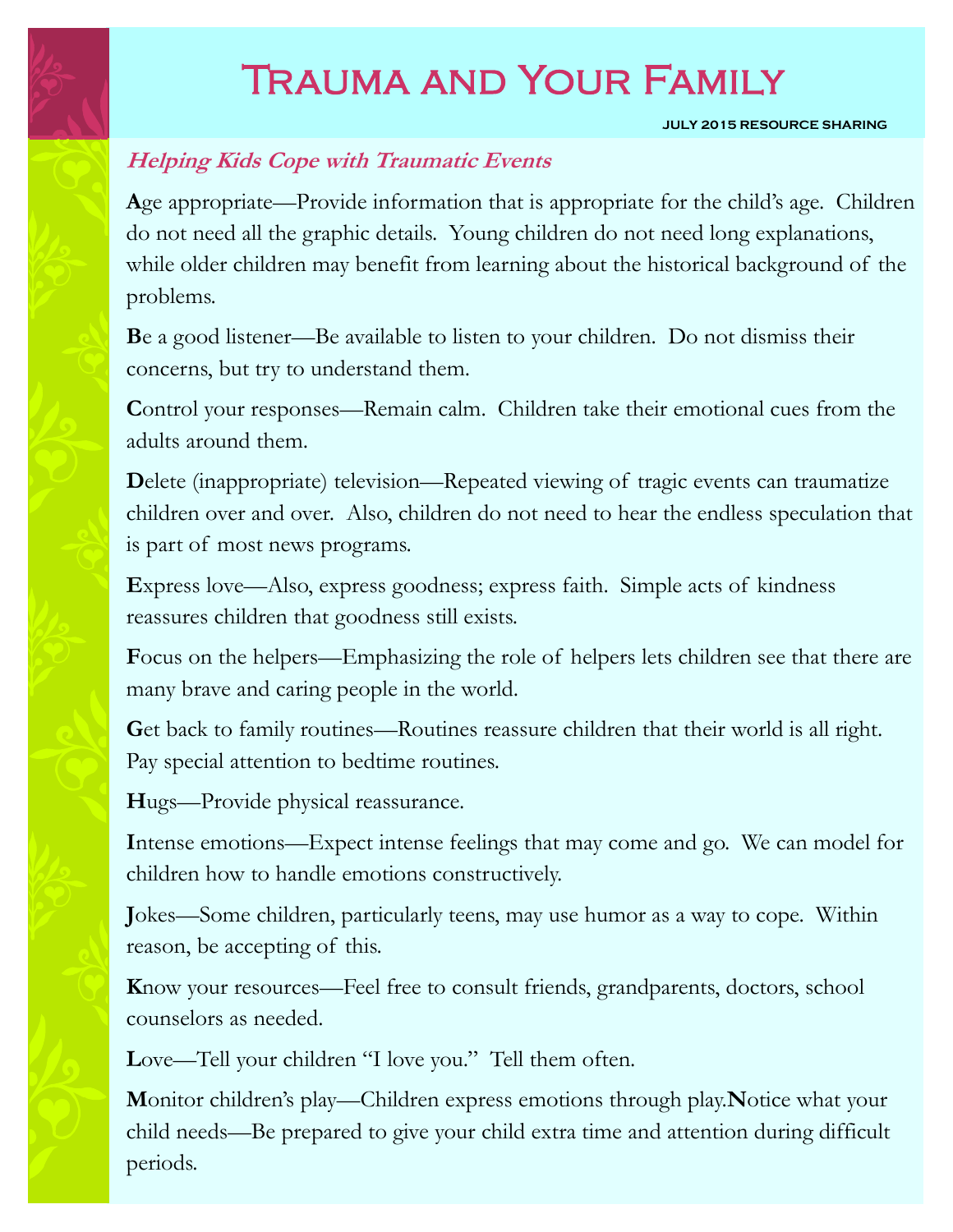# Trauma and Your Family

#### **JULY 2015 RESOURCE SHARING**

### **Helping Kids Cope with Traumatic Events**

**A**ge appropriate—Provide information that is appropriate for the child's age. Children do not need all the graphic details. Young children do not need long explanations, while older children may benefit from learning about the historical background of the problems.

**B**e a good listener—Be available to listen to your children. Do not dismiss their concerns, but try to understand them.

**Control your responses—Remain calm.** Children take their emotional cues from the adults around them.

**D**elete (inappropriate) television—Repeated viewing of tragic events can traumatize children over and over. Also, children do not need to hear the endless speculation that is part of most news programs.

**E**xpress love—Also, express goodness; express faith. Simple acts of kindness reassures children that goodness still exists.

**F**ocus on the helpers—Emphasizing the role of helpers lets children see that there are many brave and caring people in the world.

Get back to family routines—Routines reassure children that their world is all right. Pay special attention to bedtime routines.

**H**ugs—Provide physical reassurance.

**I**ntense emotions—Expect intense feelings that may come and go. We can model for children how to handle emotions constructively.

**J**okes—Some children, particularly teens, may use humor as a way to cope. Within reason, be accepting of this.

**K**now your resources—Feel free to consult friends, grandparents, doctors, school counselors as needed.

Love—Tell your children "I love you." Tell them often.

**M**onitor children's play—Children express emotions through play.**N**otice what your child needs—Be prepared to give your child extra time and attention during difficult periods.